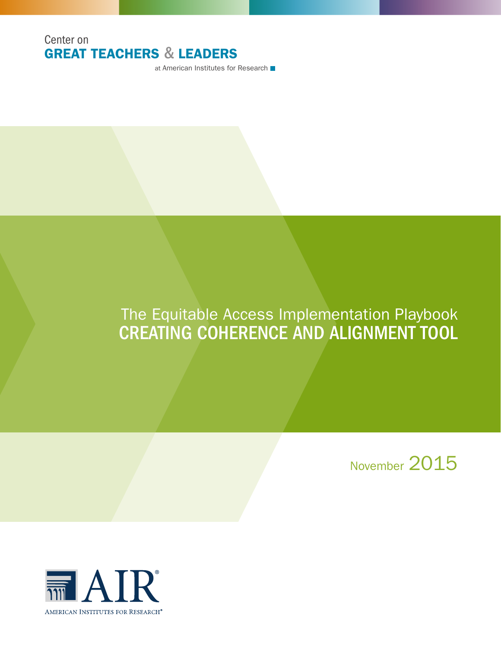

at American Institutes for Research ■

# The Equitable Access Implementation Playbook CREATING COHERENCE AND ALIGNMENT TOOL

November 2015

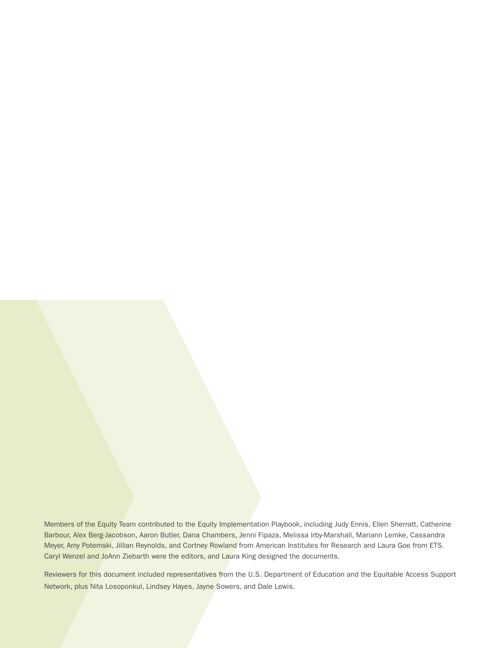Members of the Equity Team contributed to the Equity Implementation Playbook, including Judy Ennis, Ellen Sherratt, Catherine Barbour, Alex Berg-Jacobson, Aaron Butler, Dana Chambers, Jenni Fipaza, Melissa Irby-Marshall, Mariann Lemke, Cassandra Meyer, Amy Potemski, Jillian Reynolds, and Cortney Rowland from American Institutes for Research and Laura Goe from ETS. Caryl Wenzel and JoAnn Ziebarth were the editors, and Laura King designed the documents.

Reviewers for this document included representatives from the U.S. Department of Education and the Equitable Access Support Network, plus Nita Losoponkul, Lindsey Hayes, Jayne Sowers, and Dale Lewis.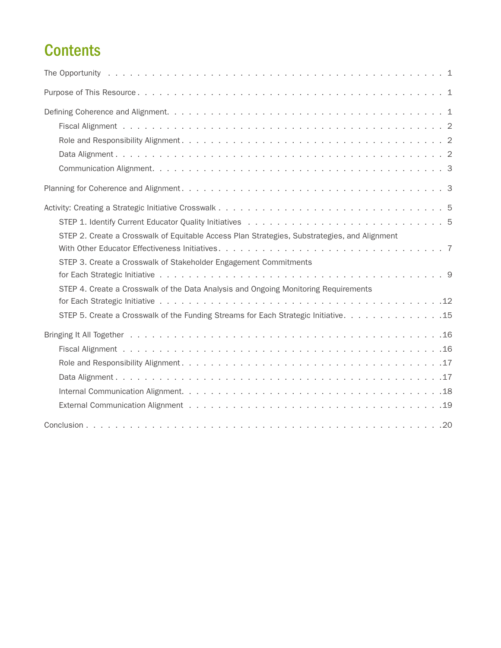# **Contents**

| STEP 2. Create a Crosswalk of Equitable Access Plan Strategies, Substrategies, and Alignment |
|----------------------------------------------------------------------------------------------|
| STEP 3. Create a Crosswalk of Stakeholder Engagement Commitments                             |
| STEP 4. Create a Crosswalk of the Data Analysis and Ongoing Monitoring Requirements          |
|                                                                                              |
| STEP 5. Create a Crosswalk of the Funding Streams for Each Strategic Initiative. 15          |
|                                                                                              |
|                                                                                              |
|                                                                                              |
|                                                                                              |
|                                                                                              |
|                                                                                              |
|                                                                                              |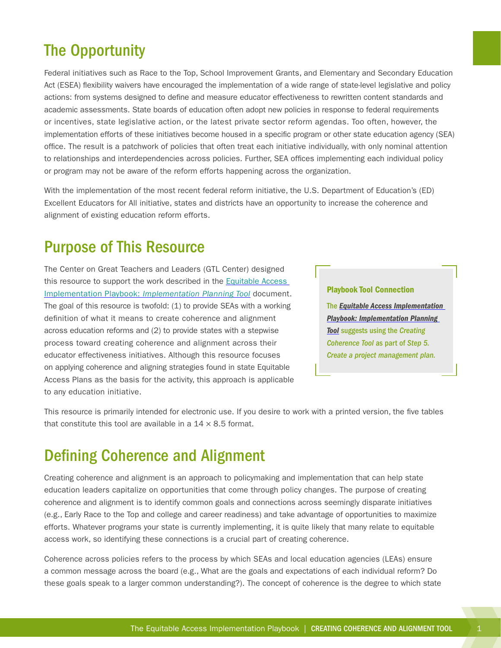# <span id="page-4-0"></span>The Opportunity

Federal initiatives such as Race to the Top, School Improvement Grants, and Elementary and Secondary Education Act (ESEA) flexibility waivers have encouraged the implementation of a wide range of state-level legislative and policy actions: from systems designed to define and measure educator effectiveness to rewritten content standards and academic assessments. State boards of education often adopt new policies in response to federal requirements or incentives, state legislative action, or the latest private sector reform agendas. Too often, however, the implementation efforts of these initiatives become housed in a specific program or other state education agency (SEA) office. The result is a patchwork of policies that often treat each initiative individually, with only nominal attention to relationships and interdependencies across policies. Further, SEA offices implementing each individual policy or program may not be aware of the reform efforts happening across the organization.

With the implementation of the most recent federal reform initiative, the U.S. Department of Education's (ED) Excellent Educators for All initiative, states and districts have an opportunity to increase the coherence and alignment of existing education reform efforts.

# Purpose of This Resource

The Center on Great Teachers and Leaders (GTL Center) designed this resource to support the work described in the [Equitable Access](http://www.gtlcenter.org/sites/default/files/Implementation_Planning_Tool.pdf)  Implementation Playbook: *[Implementation Planning Tool](http://www.gtlcenter.org/sites/default/files/Implementation_Planning_Tool.pdf)* document. The goal of this resource is twofold: (1) to provide SEAs with a working definition of what it means to create coherence and alignment across education reforms and (2) to provide states with a stepwise process toward creating coherence and alignment across their educator effectiveness initiatives. Although this resource focuses on applying coherence and aligning strategies found in state Equitable Access Plans as the basis for the activity, this approach is applicable to any education initiative.

#### Playbook Tool Connection

The *[Equitable Access Implementation](http://www.gtlcenter.org/sites/default/files/Implementation_Planning_Tool.pdf)  [Playbook: Implementation Planning](http://www.gtlcenter.org/sites/default/files/Implementation_Planning_Tool.pdf)  [Tool](http://www.gtlcenter.org/sites/default/files/Implementation_Planning_Tool.pdf)* suggests using the *Creating Coherence Tool* as part of *Step 5. Create a project management plan.*

This resource is primarily intended for electronic use. If you desire to work with a printed version, the five tables that constitute this tool are available in a  $14 \times 8.5$  format.

# Defining Coherence and Alignment

Creating coherence and alignment is an approach to policymaking and implementation that can help state education leaders capitalize on opportunities that come through policy changes. The purpose of creating coherence and alignment is to identify common goals and connections across seemingly disparate initiatives (e.g., Early Race to the Top and college and career readiness) and take advantage of opportunities to maximize efforts. Whatever programs your state is currently implementing, it is quite likely that many relate to equitable access work, so identifying these connections is a crucial part of creating coherence.

Coherence across policies refers to the process by which SEAs and local education agencies (LEAs) ensure a common message across the board (e.g., What are the goals and expectations of each individual reform? Do these goals speak to a larger common understanding?). The concept of coherence is the degree to which state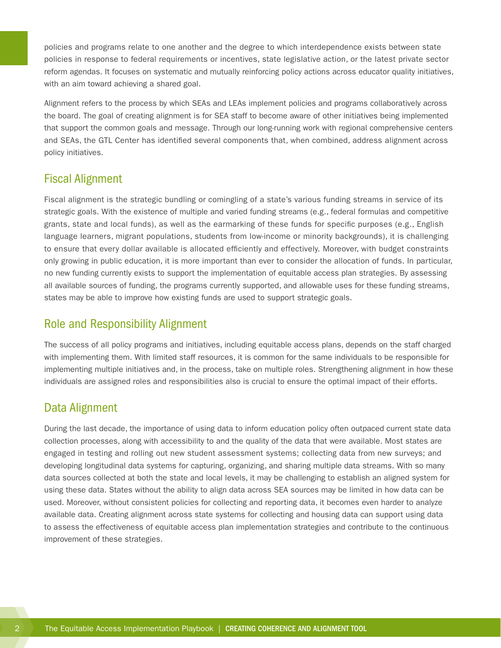<span id="page-5-0"></span>policies and programs relate to one another and the degree to which interdependence exists between state policies in response to federal requirements or incentives, state legislative action, or the latest private sector reform agendas. It focuses on systematic and mutually reinforcing policy actions across educator quality initiatives, with an aim toward achieving a shared goal.

Alignment refers to the process by which SEAs and LEAs implement policies and programs collaboratively across the board. The goal of creating alignment is for SEA staff to become aware of other initiatives being implemented that support the common goals and message. Through our long-running work with regional comprehensive centers and SEAs, the GTL Center has identified several components that, when combined, address alignment across policy initiatives.

### Fiscal Alignment

Fiscal alignment is the strategic bundling or comingling of a state's various funding streams in service of its strategic goals. With the existence of multiple and varied funding streams (e.g., federal formulas and competitive grants, state and local funds), as well as the earmarking of these funds for specific purposes (e.g., English language learners, migrant populations, students from low-income or minority backgrounds), it is challenging to ensure that every dollar available is allocated efficiently and effectively. Moreover, with budget constraints only growing in public education, it is more important than ever to consider the allocation of funds. In particular, no new funding currently exists to support the implementation of equitable access plan strategies. By assessing all available sources of funding, the programs currently supported, and allowable uses for these funding streams, states may be able to improve how existing funds are used to support strategic goals.

### Role and Responsibility Alignment

The success of all policy programs and initiatives, including equitable access plans, depends on the staff charged with implementing them. With limited staff resources, it is common for the same individuals to be responsible for implementing multiple initiatives and, in the process, take on multiple roles. Strengthening alignment in how these individuals are assigned roles and responsibilities also is crucial to ensure the optimal impact of their efforts.

### Data Alignment

During the last decade, the importance of using data to inform education policy often outpaced current state data collection processes, along with accessibility to and the quality of the data that were available. Most states are engaged in testing and rolling out new student assessment systems; collecting data from new surveys; and developing longitudinal data systems for capturing, organizing, and sharing multiple data streams. With so many data sources collected at both the state and local levels, it may be challenging to establish an aligned system for using these data. States without the ability to align data across SEA sources may be limited in how data can be used. Moreover, without consistent policies for collecting and reporting data, it becomes even harder to analyze available data. Creating alignment across state systems for collecting and housing data can support using data to assess the effectiveness of equitable access plan implementation strategies and contribute to the continuous improvement of these strategies.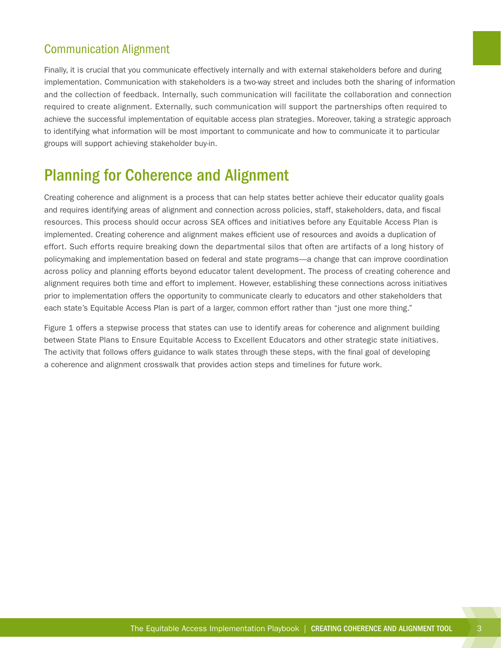## <span id="page-6-0"></span>Communication Alignment

Finally, it is crucial that you communicate effectively internally and with external stakeholders before and during implementation. Communication with stakeholders is a two-way street and includes both the sharing of information and the collection of feedback. Internally, such communication will facilitate the collaboration and connection required to create alignment. Externally, such communication will support the partnerships often required to achieve the successful implementation of equitable access plan strategies. Moreover, taking a strategic approach to identifying what information will be most important to communicate and how to communicate it to particular groups will support achieving stakeholder buy-in.

# Planning for Coherence and Alignment

Creating coherence and alignment is a process that can help states better achieve their educator quality goals and requires identifying areas of alignment and connection across policies, staff, stakeholders, data, and fiscal resources. This process should occur across SEA offices and initiatives before any Equitable Access Plan is implemented. Creating coherence and alignment makes efficient use of resources and avoids a duplication of effort. Such efforts require breaking down the departmental silos that often are artifacts of a long history of policymaking and implementation based on federal and state programs—a change that can improve coordination across policy and planning efforts beyond educator talent development. The process of creating coherence and alignment requires both time and effort to implement. However, establishing these connections across initiatives prior to implementation offers the opportunity to communicate clearly to educators and other stakeholders that each state's Equitable Access Plan is part of a larger, common effort rather than "just one more thing."

Figure 1 offers a stepwise process that states can use to identify areas for coherence and alignment building between State Plans to Ensure Equitable Access to Excellent Educators and other strategic state initiatives. The activity that follows offers guidance to walk states through these steps, with the final goal of developing a coherence and alignment crosswalk that provides action steps and timelines for future work.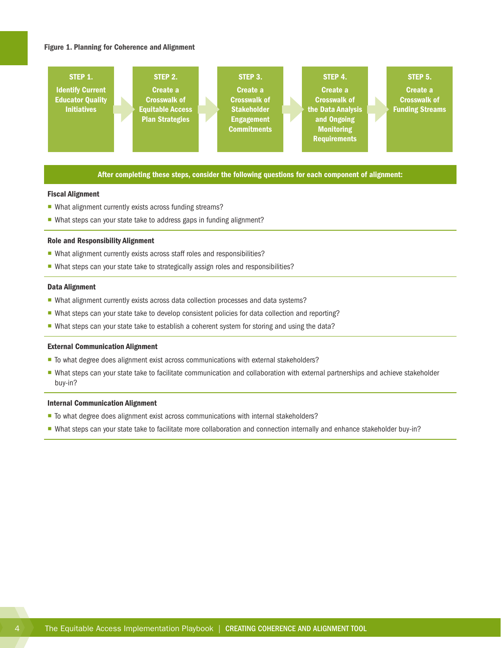#### Figure 1. Planning for Coherence and Alignment



#### After completing these steps, consider the following questions for each component of alignment:

#### Fiscal Alignment

- What alignment currently exists across funding streams?
- What steps can your state take to address gaps in funding alignment?

#### Role and Responsibility Alignment

- What alignment currently exists across staff roles and responsibilities?
- What steps can your state take to strategically assign roles and responsibilities?

#### Data Alignment

- ¡ What alignment currently exists across data collection processes and data systems?
- ¡ What steps can your state take to develop consistent policies for data collection and reporting?
- What steps can your state take to establish a coherent system for storing and using the data?

#### External Communication Alignment

- To what degree does alignment exist across communications with external stakeholders?
- " What steps can your state take to facilitate communication and collaboration with external partnerships and achieve stakeholder buy-in?

#### Internal Communication Alignment

- To what degree does alignment exist across communications with internal stakeholders?
- ¡ What steps can your state take to facilitate more collaboration and connection internally and enhance stakeholder buy-in?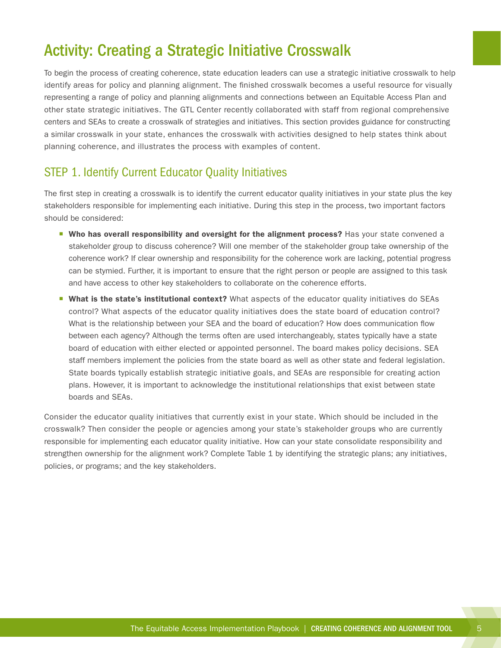# <span id="page-8-0"></span>Activity: Creating a Strategic Initiative Crosswalk

To begin the process of creating coherence, state education leaders can use a strategic initiative crosswalk to help identify areas for policy and planning alignment. The finished crosswalk becomes a useful resource for visually representing a range of policy and planning alignments and connections between an Equitable Access Plan and other state strategic initiatives. The GTL Center recently collaborated with staff from regional comprehensive centers and SEAs to create a crosswalk of strategies and initiatives. This section provides guidance for constructing a similar crosswalk in your state, enhances the crosswalk with activities designed to help states think about planning coherence, and illustrates the process with examples of content.

## STEP 1. Identify Current Educator Quality Initiatives

The first step in creating a crosswalk is to identify the current educator quality initiatives in your state plus the key stakeholders responsible for implementing each initiative. During this step in the process, two important factors should be considered:

- **Who has overall responsibility and oversight for the alignment process?** Has your state convened a stakeholder group to discuss coherence? Will one member of the stakeholder group take ownership of the coherence work? If clear ownership and responsibility for the coherence work are lacking, potential progress can be stymied. Further, it is important to ensure that the right person or people are assigned to this task and have access to other key stakeholders to collaborate on the coherence efforts.
- **What is the state's institutional context?** What aspects of the educator quality initiatives do SEAs control? What aspects of the educator quality initiatives does the state board of education control? What is the relationship between your SEA and the board of education? How does communication flow between each agency? Although the terms often are used interchangeably, states typically have a state board of education with either elected or appointed personnel. The board makes policy decisions. SEA staff members implement the policies from the state board as well as other state and federal legislation. State boards typically establish strategic initiative goals, and SEAs are responsible for creating action plans. However, it is important to acknowledge the institutional relationships that exist between state boards and SEAs.

Consider the educator quality initiatives that currently exist in your state. Which should be included in the crosswalk? Then consider the people or agencies among your state's stakeholder groups who are currently responsible for implementing each educator quality initiative. How can your state consolidate responsibility and strengthen ownership for the alignment work? Complete Table 1 by identifying the strategic plans; any initiatives, policies, or programs; and the key stakeholders.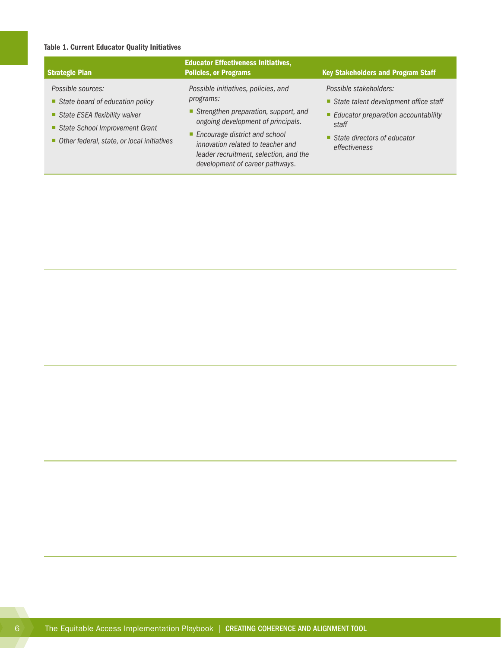### Table 1. Current Educator Quality Initiatives

| <b>Strategic Plan</b>                                                                                                   | <b>Educator Effectiveness Initiatives,</b><br><b>Policies, or Programs</b>                                                                        | <b>Key Stakeholders and Program Staff</b>                                                                         |
|-------------------------------------------------------------------------------------------------------------------------|---------------------------------------------------------------------------------------------------------------------------------------------------|-------------------------------------------------------------------------------------------------------------------|
| Possible sources:<br>State board of education policy<br>State ESEA flexibility waiver<br>State School Improvement Grant | Possible initiatives, policies, and<br>programs:<br>Strengthen preparation, support, and<br>ongoing development of principals.                    | Possible stakeholders:<br>State talent development office staff<br>■ Educator preparation accountability<br>staff |
| Other federal, state, or local initiatives                                                                              | ■ Encourage district and school<br>innovation related to teacher and<br>leader recruitment, selection, and the<br>development of career pathways. | ■ State directors of educator<br>effectiveness                                                                    |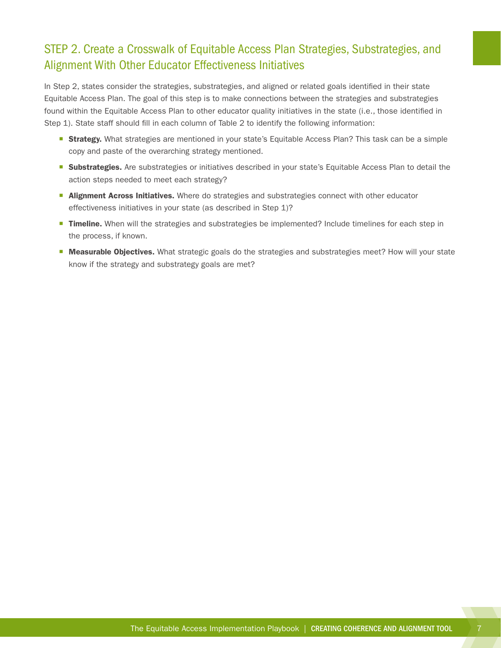## <span id="page-10-0"></span>STEP 2. Create a Crosswalk of Equitable Access Plan Strategies, Substrategies, and Alignment With Other Educator Effectiveness Initiatives

In Step 2, states consider the strategies, substrategies, and aligned or related goals identified in their state Equitable Access Plan. The goal of this step is to make connections between the strategies and substrategies found within the Equitable Access Plan to other educator quality initiatives in the state (i.e., those identified in Step 1). State staff should fill in each column of Table 2 to identify the following information:

- **Strategy.** What strategies are mentioned in your state's Equitable Access Plan? This task can be a simple copy and paste of the overarching strategy mentioned.
- **Substrategies.** Are substrategies or initiatives described in your state's Equitable Access Plan to detail the action steps needed to meet each strategy?
- **E** Alignment Across Initiatives. Where do strategies and substrategies connect with other educator effectiveness initiatives in your state (as described in Step 1)?
- **Timeline.** When will the strategies and substrategies be implemented? Include timelines for each step in the process, if known.
- **Measurable Objectives.** What strategic goals do the strategies and substrategies meet? How will your state know if the strategy and substrategy goals are met?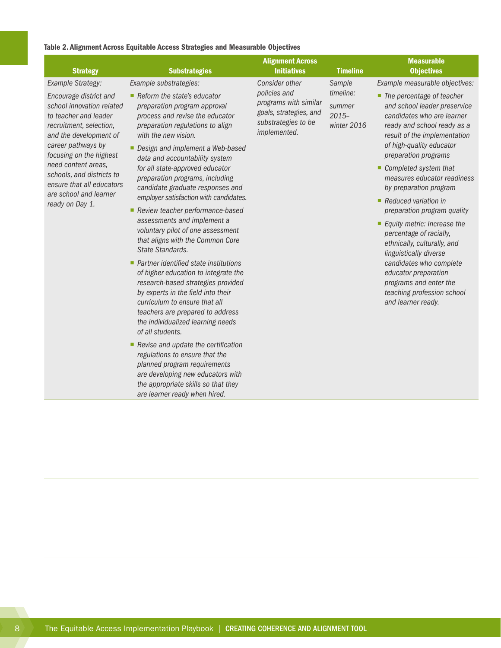#### Table 2. Alignment Across Equitable Access Strategies and Measurable Objectives

| <b>Strategy</b>                                                                                                                                                                                                                                                                                                                       | <b>Substrategies</b>                                                                                                                                                                                                                                                                                                                                                                                                                                                                                                                                                                                                                                                                                                                                                                                                                                                                                                                                                                                                                                                                                           | <b>Alignment Across</b><br><b>Initiatives</b>                                                                            | <b>Timeline</b>                                         | <b>Measurable</b><br><b>Objectives</b>                                                                                                                                                                                                                                                                                                                                                                                                                                                                                                                                                                                                                       |
|---------------------------------------------------------------------------------------------------------------------------------------------------------------------------------------------------------------------------------------------------------------------------------------------------------------------------------------|----------------------------------------------------------------------------------------------------------------------------------------------------------------------------------------------------------------------------------------------------------------------------------------------------------------------------------------------------------------------------------------------------------------------------------------------------------------------------------------------------------------------------------------------------------------------------------------------------------------------------------------------------------------------------------------------------------------------------------------------------------------------------------------------------------------------------------------------------------------------------------------------------------------------------------------------------------------------------------------------------------------------------------------------------------------------------------------------------------------|--------------------------------------------------------------------------------------------------------------------------|---------------------------------------------------------|--------------------------------------------------------------------------------------------------------------------------------------------------------------------------------------------------------------------------------------------------------------------------------------------------------------------------------------------------------------------------------------------------------------------------------------------------------------------------------------------------------------------------------------------------------------------------------------------------------------------------------------------------------------|
| Example Strategy:<br>Encourage district and<br>school innovation related<br>to teacher and leader<br>recruitment, selection,<br>and the development of<br>career pathways by<br>focusing on the highest<br>need content areas,<br>schools, and districts to<br>ensure that all educators<br>are school and learner<br>ready on Day 1. | Example substrategies:<br>Reform the state's educator<br>preparation program approval<br>process and revise the educator<br>preparation regulations to align<br>with the new vision.<br>Design and implement a Web-based<br>data and accountability system<br>for all state-approved educator<br>preparation programs, including<br>candidate graduate responses and<br>employer satisfaction with candidates.<br>Review teacher performance-based<br>assessments and implement a<br>voluntary pilot of one assessment<br>that aligns with the Common Core<br>State Standards.<br>$\blacksquare$ Partner identified state institutions<br>of higher education to integrate the<br>research-based strategies provided<br>by experts in the field into their<br>curriculum to ensure that all<br>teachers are prepared to address<br>the individualized learning needs<br>of all students.<br>Revise and update the certification<br>regulations to ensure that the<br>planned program requirements<br>are developing new educators with<br>the appropriate skills so that they<br>are learner ready when hired. | Consider other<br>policies and<br>programs with similar<br>goals, strategies, and<br>substrategies to be<br>implemented. | Sample<br>timeline:<br>summer<br>$2015-$<br>winter 2016 | Example measurable objectives:<br>• The percentage of teacher<br>and school leader preservice<br>candidates who are learner<br>ready and school ready as a<br>result of the implementation<br>of high-quality educator<br>preparation programs<br>Completed system that<br>measures educator readiness<br>by preparation program<br>$\blacksquare$ Reduced variation in<br>preparation program quality<br>■ Equity metric: Increase the<br>percentage of racially,<br>ethnically, culturally, and<br>linguistically diverse<br>candidates who complete<br>educator preparation<br>programs and enter the<br>teaching profession school<br>and learner ready. |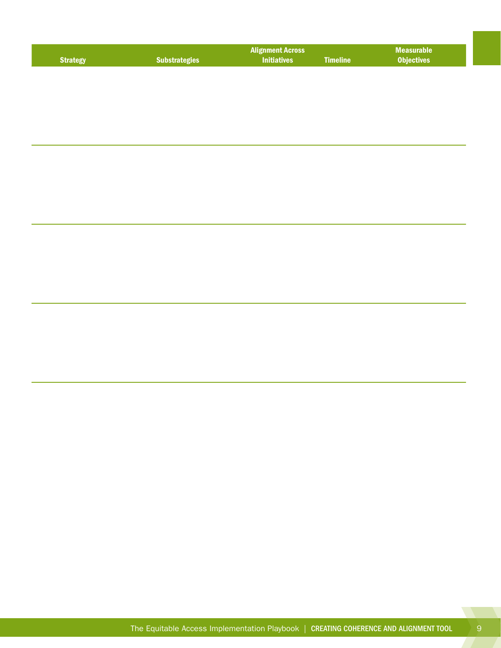<span id="page-12-0"></span>

| <b>Strategy</b> | <b>Substrategies</b> | <b>Alignment Across</b><br><b>Initiatives</b> | <b>Timeline</b> | <b>Measurable</b><br><b>Objectives</b> |
|-----------------|----------------------|-----------------------------------------------|-----------------|----------------------------------------|
|                 |                      |                                               |                 |                                        |
|                 |                      |                                               |                 |                                        |
|                 |                      |                                               |                 |                                        |
|                 |                      |                                               |                 |                                        |
|                 |                      |                                               |                 |                                        |
|                 |                      |                                               |                 |                                        |
|                 |                      |                                               |                 |                                        |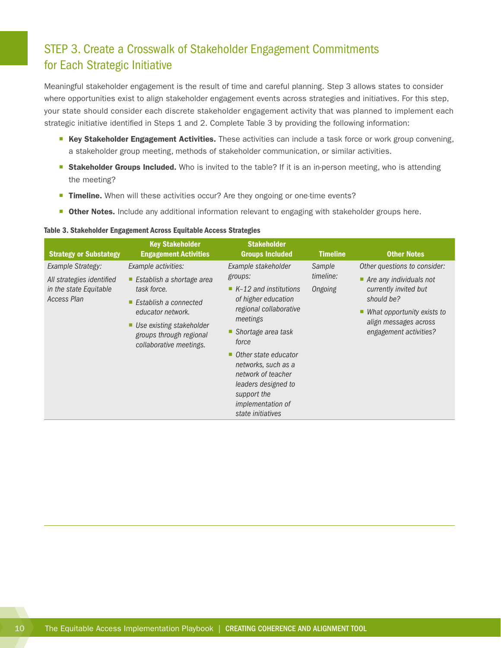## STEP 3. Create a Crosswalk of Stakeholder Engagement Commitments for Each Strategic Initiative

Meaningful stakeholder engagement is the result of time and careful planning. Step 3 allows states to consider where opportunities exist to align stakeholder engagement events across strategies and initiatives. For this step, your state should consider each discrete stakeholder engagement activity that was planned to implement each strategic initiative identified in Steps 1 and 2. Complete Table 3 by providing the following information:

- Key Stakeholder Engagement Activities. These activities can include a task force or work group convening, a stakeholder group meeting, methods of stakeholder communication, or similar activities.
- **Stakeholder Groups Included.** Who is invited to the table? If it is an in-person meeting, who is attending the meeting?
- **Timeline.** When will these activities occur? Are they ongoing or one-time events?
- **Other Notes.** Include any additional information relevant to engaging with stakeholder groups here.

#### Table 3. Stakeholder Engagement Across Equitable Access Strategies

| <b>Strategy or Substategy</b>                | <b>Key Stakeholder</b><br><b>Engagement Activities</b>                              | <b>Stakeholder</b><br><b>Groups Included</b>                | <b>Timeline</b>                                                                                                                  | <b>Other Notes</b>                     |
|----------------------------------------------|-------------------------------------------------------------------------------------|-------------------------------------------------------------|----------------------------------------------------------------------------------------------------------------------------------|----------------------------------------|
| Example Strategy:                            | Example activities:                                                                 | Example stakeholder                                         | Sample                                                                                                                           | Other questions to consider:           |
| All strategies identified                    | Establish a shortage area<br>ш                                                      | groups:                                                     | timeline:                                                                                                                        | $\blacksquare$ Are any individuals not |
| in the state Equitable<br><b>Access Plan</b> | task force.                                                                         | $\blacksquare$ K-12 and institutions<br>of higher education | Ongoing                                                                                                                          | currently invited but<br>should be?    |
|                                              | Establish a connected<br>п<br>educator network.                                     | regional collaborative                                      | meetings<br>force<br>networks, such as a<br>network of teacher<br>leaders designed to<br>support the<br><i>implementation of</i> | What opportunity exists to<br>п        |
|                                              | Use existing stakeholder<br>ш<br>groups through regional<br>collaborative meetings. |                                                             |                                                                                                                                  | align messages across                  |
|                                              |                                                                                     | ■ Shortage area task                                        |                                                                                                                                  | engagement activities?                 |
|                                              |                                                                                     | • Other state educator<br>state initiatives                 |                                                                                                                                  |                                        |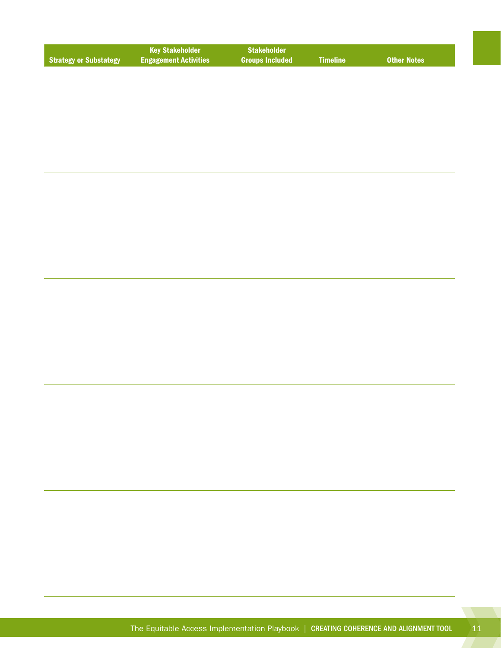|                               | l Kev Stakeholder '          | <b>Stakeholder</b>     |                 |                    |
|-------------------------------|------------------------------|------------------------|-----------------|--------------------|
| <b>Strategy or Substategy</b> | <b>Engagement Activities</b> | <b>Groups Included</b> | <b>Nimeline</b> | <b>Other Notes</b> |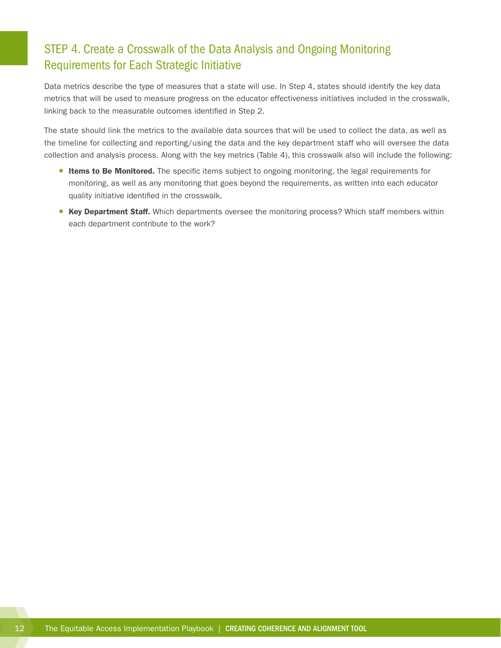## <span id="page-15-0"></span>STEP 4. Create a Crosswalk of the Data Analysis and Ongoing Monitoring Requirements for Each Strategic Initiative

Data metrics describe the type of measures that a state will use. In Step 4, states should identify the key data metrics that will be used to measure progress on the educator effectiveness initiatives included in the crosswalk, linking back to the measurable outcomes identified in Step 2.

The state should link the metrics to the available data sources that will be used to collect the data, as well as the timeline for collecting and reporting/using the data and the key department staff who will oversee the data collection and analysis process. Along with the key metrics (Table 4), this crosswalk also will include the following:

- **Items to Be Monitored.** The specific items subject to ongoing monitoring, the legal requirements for monitoring, as well as any monitoring that goes beyond the requirements, as written into each educator quality initiative identified in the crosswalk.
- Key Department Staff. Which departments oversee the monitoring process? Which staff members within each department contribute to the work?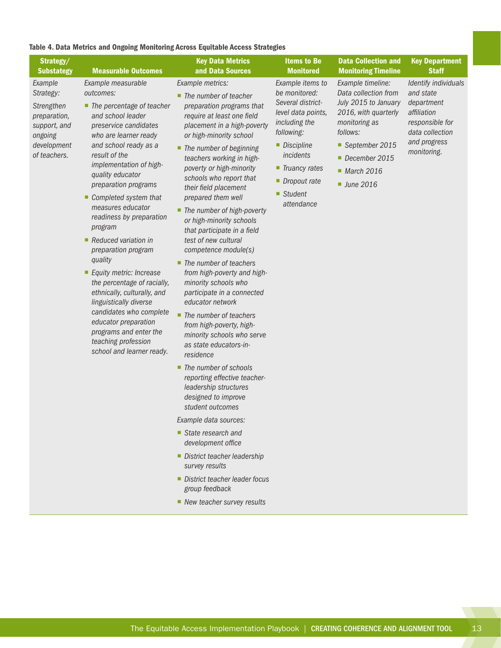#### Table 4. Data Metrics and Ongoing Monitoring Across Equitable Access Strategies

| Strategy/<br><b>Substategy</b>                                                                               | <b>Measurable Outcomes</b>                                                                                                                                                                                                                                                                                                                                                                                                                                                                                                                                                                                                                                             | <b>Key Data Metrics</b><br>and Data Sources                                                                                                                                                                                                                                                                                                                                                                                                                                                                                                                                                                                                                                                                                                                                                                                                                                                                                                                                                                                                                                                                                                    | <b>Items to Be</b><br><b>Monitored</b>                                                                                                                                                                 | <b>Data Collection and</b><br><b>Monitoring Timeline</b>                                                                                                                                            | <b>Key Department</b><br><b>Staff</b>                                                                                               |
|--------------------------------------------------------------------------------------------------------------|------------------------------------------------------------------------------------------------------------------------------------------------------------------------------------------------------------------------------------------------------------------------------------------------------------------------------------------------------------------------------------------------------------------------------------------------------------------------------------------------------------------------------------------------------------------------------------------------------------------------------------------------------------------------|------------------------------------------------------------------------------------------------------------------------------------------------------------------------------------------------------------------------------------------------------------------------------------------------------------------------------------------------------------------------------------------------------------------------------------------------------------------------------------------------------------------------------------------------------------------------------------------------------------------------------------------------------------------------------------------------------------------------------------------------------------------------------------------------------------------------------------------------------------------------------------------------------------------------------------------------------------------------------------------------------------------------------------------------------------------------------------------------------------------------------------------------|--------------------------------------------------------------------------------------------------------------------------------------------------------------------------------------------------------|-----------------------------------------------------------------------------------------------------------------------------------------------------------------------------------------------------|-------------------------------------------------------------------------------------------------------------------------------------|
| Example<br>Strategy:<br>Strengthen<br>preparation,<br>support, and<br>ongoing<br>development<br>of teachers. | Example measurable<br>outcomes:<br>$\blacksquare$ The percentage of teacher<br>and school leader<br>preservice candidates<br>who are learner ready<br>and school ready as a<br>result of the<br>implementation of high-<br>quality educator<br>preparation programs<br>Completed system that<br>measures educator<br>readiness by preparation<br>program<br>Reduced variation in<br>preparation program<br>quality<br>Equity metric: Increase<br>the percentage of racially,<br>ethnically, culturally, and<br>linguistically diverse<br>candidates who complete<br>educator preparation<br>programs and enter the<br>teaching profession<br>school and learner ready. | Example metrics:<br>$\blacksquare$ The number of teacher<br>preparation programs that<br>require at least one field<br>placement in a high-poverty<br>or high-minority school<br>■ The number of beginning<br>teachers working in high-<br>poverty or high-minority<br>schools who report that<br>their field placement<br>prepared them well<br>■ The number of high-poverty<br>or high-minority schools<br>that participate in a field<br>test of new cultural<br>competence module(s)<br>$\blacksquare$ The number of teachers<br>from high-poverty and high-<br>minority schools who<br>participate in a connected<br>educator network<br>The number of teachers<br>٠<br>from high-poverty, high-<br>minority schools who serve<br>as state educators-in-<br>residence<br>■ The number of schools<br>reporting effective teacher-<br>leadership structures<br>designed to improve<br>student outcomes<br>Example data sources:<br>$\blacksquare$ State research and<br>development office<br>District teacher leadership<br>survey results<br>District teacher leader focus<br>group feedback<br>$\blacksquare$ New teacher survey results | Example items to<br>be monitored:<br>Several district-<br>level data points,<br>including the<br>following:<br>Discipline<br>incidents<br>■ Truancy rates<br>• Dropout rate<br>■ Student<br>attendance | Example timeline:<br>Data collection from<br>July 2015 to January<br>2016, with quarterly<br>monitoring as<br>follows:<br>September 2015<br>December 2015<br>March 2016<br>$\blacksquare$ June 2016 | Identify individuals<br>and state<br>department<br>affiliation<br>responsible for<br>data collection<br>and progress<br>monitoring. |
|                                                                                                              |                                                                                                                                                                                                                                                                                                                                                                                                                                                                                                                                                                                                                                                                        |                                                                                                                                                                                                                                                                                                                                                                                                                                                                                                                                                                                                                                                                                                                                                                                                                                                                                                                                                                                                                                                                                                                                                |                                                                                                                                                                                                        |                                                                                                                                                                                                     |                                                                                                                                     |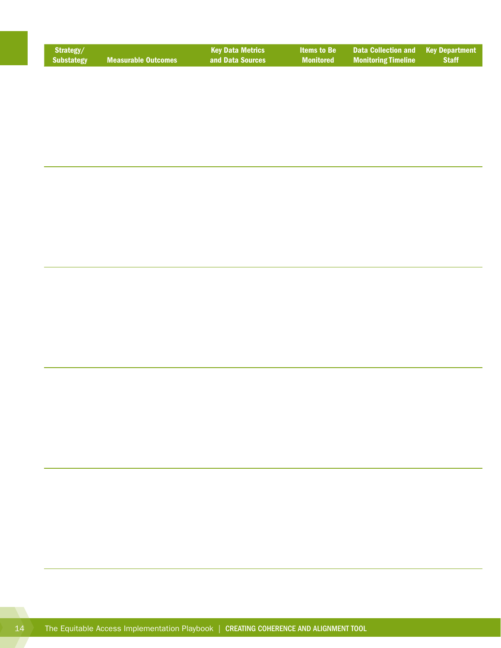| Strategy/  |                            | <b>Key Data Metrics</b> |                  | <b>Items to Be Data Collection and Key Department</b> |              |
|------------|----------------------------|-------------------------|------------------|-------------------------------------------------------|--------------|
| Substategy | <b>Measurable Outcomes</b> | and Data Sources        | <b>Monitored</b> | <b>Monitoring Timeline</b>                            | <b>Staff</b> |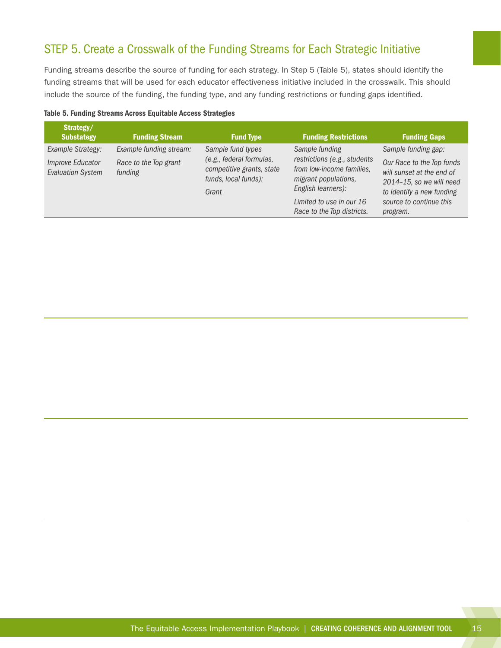## <span id="page-18-0"></span>STEP 5. Create a Crosswalk of the Funding Streams for Each Strategic Initiative

Funding streams describe the source of funding for each strategy. In Step 5 (Table 5), states should identify the funding streams that will be used for each educator effectiveness initiative included in the crosswalk. This should include the source of the funding, the funding type, and any funding restrictions or funding gaps identified.

|  |  |  | Table 5. Funding Streams Across Equitable Access Strategies |
|--|--|--|-------------------------------------------------------------|
|  |  |  |                                                             |
|  |  |  |                                                             |

| Strategy/<br><b>Substategy</b>               | <b>Funding Stream</b>            | <b>Fund Type</b>                                                                       | <b>Funding Restrictions</b>                                                                             | <b>Funding Gaps</b>                                                                                                  |
|----------------------------------------------|----------------------------------|----------------------------------------------------------------------------------------|---------------------------------------------------------------------------------------------------------|----------------------------------------------------------------------------------------------------------------------|
| Example Strategy:                            | Example funding stream:          | Sample fund types                                                                      | Sample funding                                                                                          | Sample funding gap:                                                                                                  |
| Improve Educator<br><b>Evaluation System</b> | Race to the Top grant<br>funding | (e.g., federal formulas,<br>competitive grants, state<br>funds, local funds):<br>Grant | restrictions (e.g., students<br>from low-income families,<br>migrant populations,<br>English learners): | Our Race to the Top funds<br>will sunset at the end of<br>$2014 - 15$ , so we will need<br>to identify a new funding |
|                                              |                                  |                                                                                        | Limited to use in our 16<br>Race to the Top districts.                                                  | source to continue this<br>program.                                                                                  |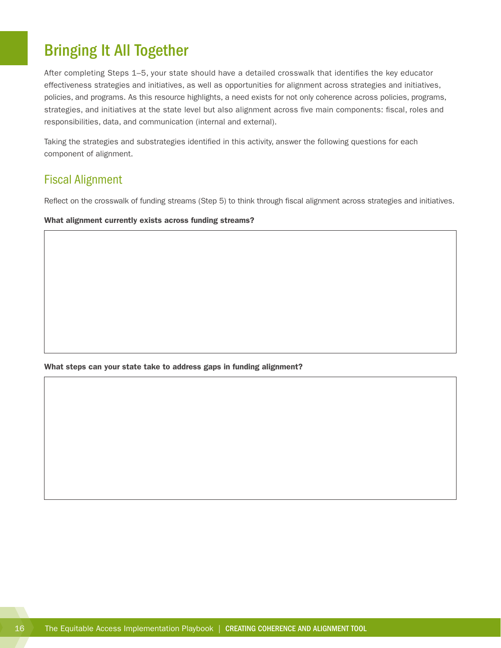# <span id="page-19-0"></span>Bringing It All Together

After completing Steps 1–5, your state should have a detailed crosswalk that identifies the key educator effectiveness strategies and initiatives, as well as opportunities for alignment across strategies and initiatives, policies, and programs. As this resource highlights, a need exists for not only coherence across policies, programs, strategies, and initiatives at the state level but also alignment across five main components: fiscal, roles and responsibilities, data, and communication (internal and external).

Taking the strategies and substrategies identified in this activity, answer the following questions for each component of alignment.

### Fiscal Alignment

Reflect on the crosswalk of funding streams (Step 5) to think through fiscal alignment across strategies and initiatives.

What alignment currently exists across funding streams?

What steps can your state take to address gaps in funding alignment?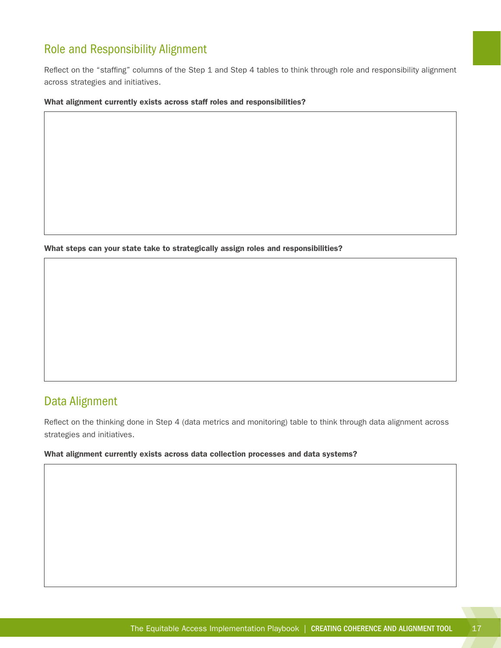## <span id="page-20-0"></span>Role and Responsibility Alignment

Reflect on the "staffing" columns of the Step 1 and Step 4 tables to think through role and responsibility alignment across strategies and initiatives.

#### What alignment currently exists across staff roles and responsibilities?

What steps can your state take to strategically assign roles and responsibilities?

### Data Alignment

Reflect on the thinking done in Step 4 (data metrics and monitoring) table to think through data alignment across strategies and initiatives.

#### What alignment currently exists across data collection processes and data systems?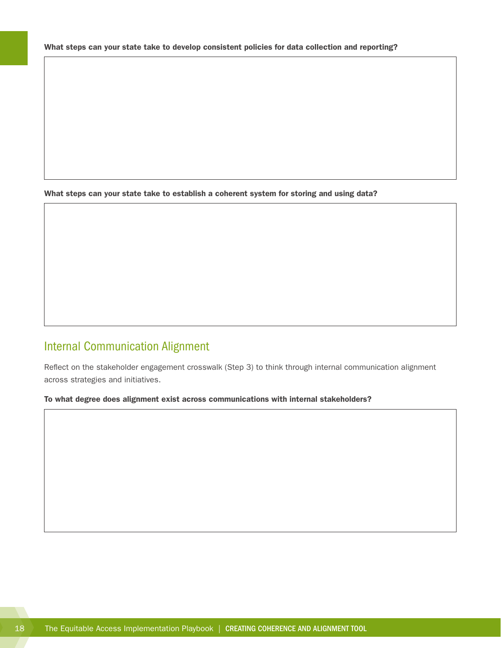<span id="page-21-0"></span>What steps can your state take to establish a coherent system for storing and using data?

## Internal Communication Alignment

Reflect on the stakeholder engagement crosswalk (Step 3) to think through internal communication alignment across strategies and initiatives.

#### To what degree does alignment exist across communications with internal stakeholders?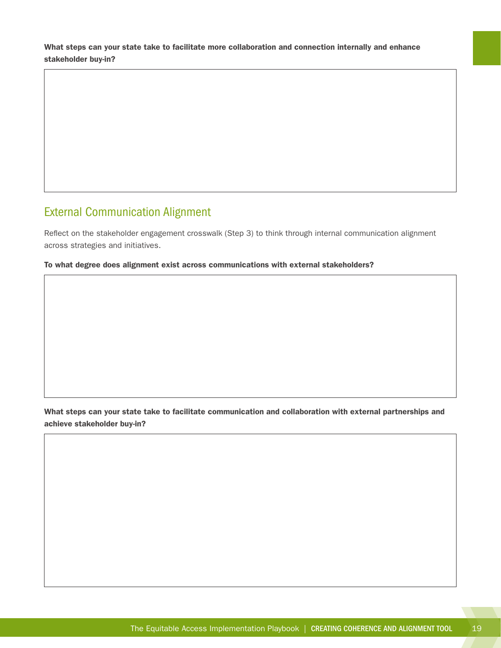<span id="page-22-0"></span>What steps can your state take to facilitate more collaboration and connection internally and enhance stakeholder buy-in?

## External Communication Alignment

Reflect on the stakeholder engagement crosswalk (Step 3) to think through internal communication alignment across strategies and initiatives.

#### To what degree does alignment exist across communications with external stakeholders?

What steps can your state take to facilitate communication and collaboration with external partnerships and achieve stakeholder buy-in?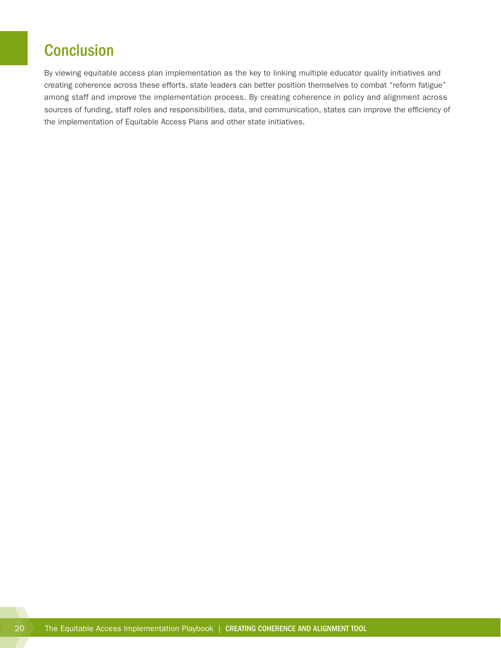# <span id="page-23-0"></span>**Conclusion**

By viewing equitable access plan implementation as the key to linking multiple educator quality initiatives and creating coherence across these efforts, state leaders can better position themselves to combat "reform fatigue" among staff and improve the implementation process. By creating coherence in policy and alignment across sources of funding, staff roles and responsibilities, data, and communication, states can improve the efficiency of the implementation of Equitable Access Plans and other state initiatives.